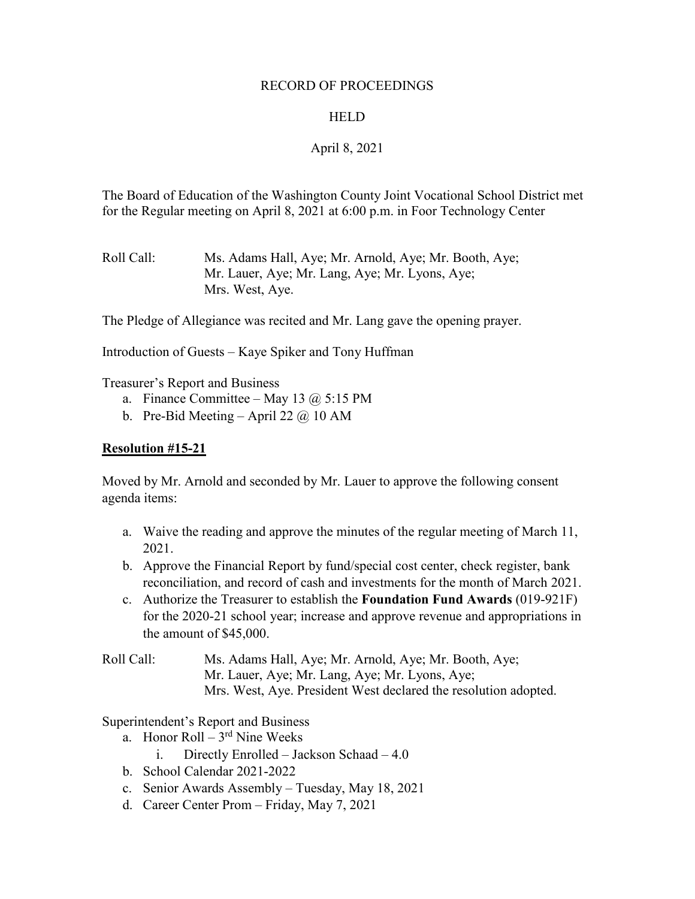#### RECORD OF PROCEEDINGS

### HELD

# April 8, 2021

The Board of Education of the Washington County Joint Vocational School District met for the Regular meeting on April 8, 2021 at 6:00 p.m. in Foor Technology Center

Roll Call: Ms. Adams Hall, Aye; Mr. Arnold, Aye; Mr. Booth, Aye; Mr. Lauer, Aye; Mr. Lang, Aye; Mr. Lyons, Aye; Mrs. West, Aye.

The Pledge of Allegiance was recited and Mr. Lang gave the opening prayer.

Introduction of Guests – Kaye Spiker and Tony Huffman

Treasurer's Report and Business

- a. Finance Committee May 13  $\omega$  5:15 PM
- b. Pre-Bid Meeting April 22  $\omega$  10 AM

### **Resolution #15-21**

Moved by Mr. Arnold and seconded by Mr. Lauer to approve the following consent agenda items:

- a. Waive the reading and approve the minutes of the regular meeting of March 11, 2021.
- b. Approve the Financial Report by fund/special cost center, check register, bank reconciliation, and record of cash and investments for the month of March 2021.
- c. Authorize the Treasurer to establish the **Foundation Fund Awards** (019-921F) for the 2020-21 school year; increase and approve revenue and appropriations in the amount of \$45,000.

Roll Call: Ms. Adams Hall, Aye; Mr. Arnold, Aye; Mr. Booth, Aye; Mr. Lauer, Aye; Mr. Lang, Aye; Mr. Lyons, Aye; Mrs. West, Aye. President West declared the resolution adopted.

Superintendent's Report and Business

- a. Honor Roll  $-3^{rd}$  Nine Weeks
	- i. Directly Enrolled Jackson Schaad 4.0
- b. School Calendar 2021-2022
- c. Senior Awards Assembly Tuesday, May 18, 2021
- d. Career Center Prom Friday, May 7, 2021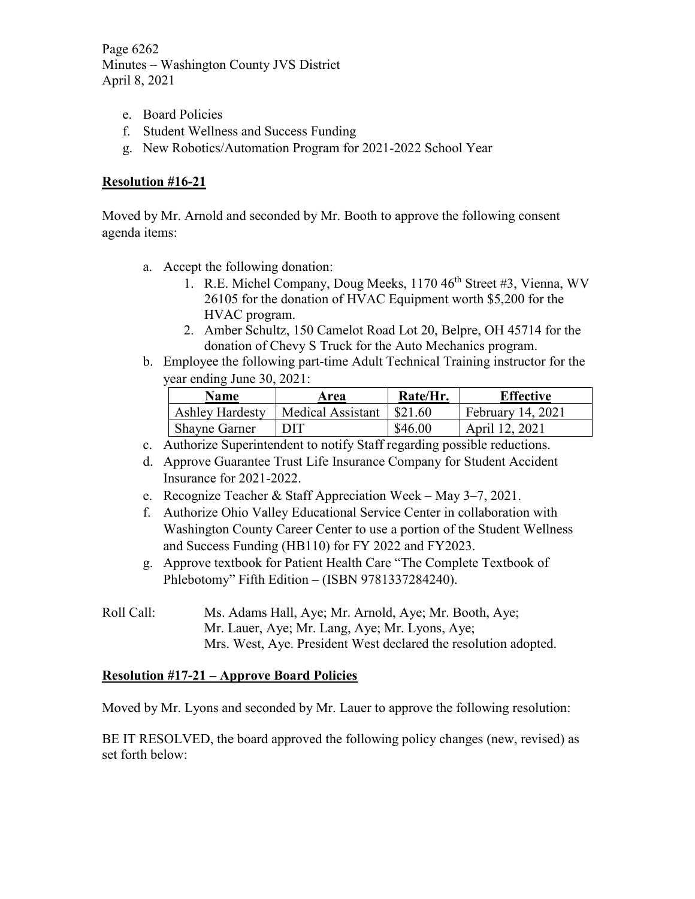Page 6262 Minutes – Washington County JVS District April 8, 2021

- e. Board Policies
- f. Student Wellness and Success Funding
- g. New Robotics/Automation Program for 2021-2022 School Year

## **Resolution #16-21**

Moved by Mr. Arnold and seconded by Mr. Booth to approve the following consent agenda items:

- a. Accept the following donation:
	- 1. R.E. Michel Company, Doug Meeks, 1170 46<sup>th</sup> Street #3, Vienna, WV 26105 for the donation of HVAC Equipment worth \$5,200 for the HVAC program.
	- 2. Amber Schultz, 150 Camelot Road Lot 20, Belpre, OH 45714 for the donation of Chevy S Truck for the Auto Mechanics program.
- b. Employee the following part-time Adult Technical Training instructor for the year ending June 30, 2021:

| <b>Name</b>          | Area                        | Rate/Hr. | <b>Effective</b>  |
|----------------------|-----------------------------|----------|-------------------|
| Ashley Hardesty      | Medical Assistant   \$21.60 |          | February 14, 2021 |
| <b>Shayne Garner</b> | TIC                         | \$46.00  | April 12, 2021    |

- c. Authorize Superintendent to notify Staff regarding possible reductions.
- d. Approve Guarantee Trust Life Insurance Company for Student Accident Insurance for 2021-2022.
- e. Recognize Teacher & Staff Appreciation Week May 3–7, 2021.
- f. Authorize Ohio Valley Educational Service Center in collaboration with Washington County Career Center to use a portion of the Student Wellness and Success Funding (HB110) for FY 2022 and FY2023.
- g. Approve textbook for Patient Health Care "The Complete Textbook of Phlebotomy" Fifth Edition – (ISBN 9781337284240).
- Roll Call: Ms. Adams Hall, Aye; Mr. Arnold, Aye; Mr. Booth, Aye; Mr. Lauer, Aye; Mr. Lang, Aye; Mr. Lyons, Aye; Mrs. West, Aye. President West declared the resolution adopted.

### **Resolution #17-21 – Approve Board Policies**

Moved by Mr. Lyons and seconded by Mr. Lauer to approve the following resolution:

BE IT RESOLVED, the board approved the following policy changes (new, revised) as set forth below: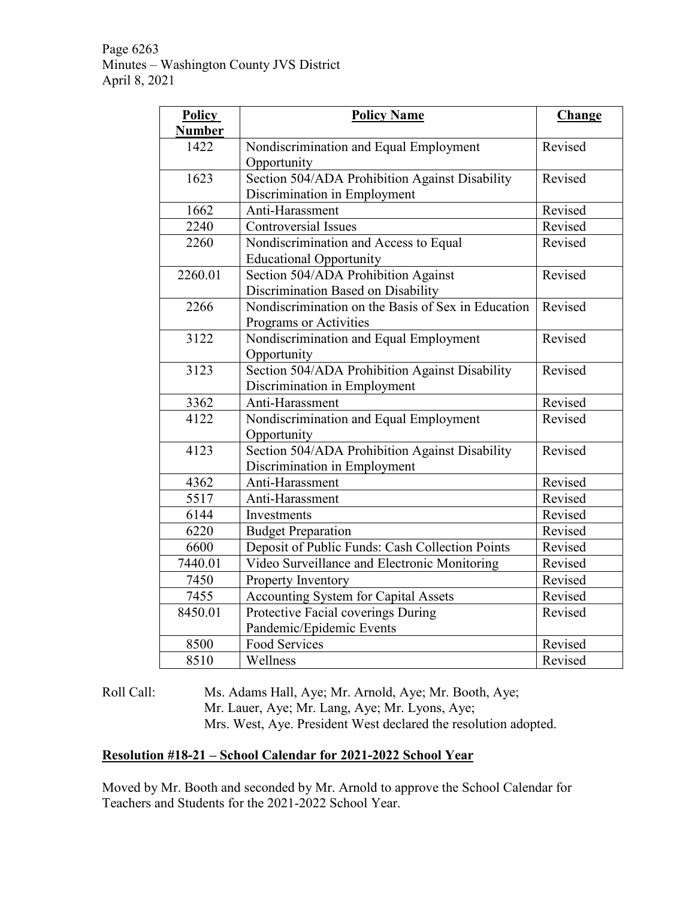Page 6263 Minutes – Washington County JVS District April 8, 2021

| <b>Policy</b><br><b>Number</b> | <b>Policy Name</b>                                 | Change  |
|--------------------------------|----------------------------------------------------|---------|
| 1422                           | Nondiscrimination and Equal Employment             | Revised |
|                                | Opportunity                                        |         |
| 1623                           | Section 504/ADA Prohibition Against Disability     | Revised |
|                                | Discrimination in Employment                       |         |
| 1662                           | Anti-Harassment                                    | Revised |
| 2240                           | <b>Controversial Issues</b>                        | Revised |
| 2260                           | Nondiscrimination and Access to Equal              | Revised |
|                                | <b>Educational Opportunity</b>                     |         |
| 2260.01                        | Section 504/ADA Prohibition Against                | Revised |
|                                | Discrimination Based on Disability                 |         |
| 2266                           | Nondiscrimination on the Basis of Sex in Education | Revised |
|                                | Programs or Activities                             |         |
| 3122                           | Nondiscrimination and Equal Employment             | Revised |
|                                | Opportunity                                        |         |
| 3123                           | Section 504/ADA Prohibition Against Disability     | Revised |
|                                | Discrimination in Employment                       |         |
| 3362                           | Anti-Harassment                                    | Revised |
| 4122                           | Nondiscrimination and Equal Employment             | Revised |
|                                | Opportunity                                        |         |
| 4123                           | Section 504/ADA Prohibition Against Disability     | Revised |
|                                | Discrimination in Employment                       |         |
| 4362                           | Anti-Harassment                                    | Revised |
| 5517                           | Anti-Harassment                                    | Revised |
| 6144                           | Investments                                        | Revised |
| 6220                           | <b>Budget Preparation</b>                          | Revised |
| 6600                           | Deposit of Public Funds: Cash Collection Points    | Revised |
| 7440.01                        | Video Surveillance and Electronic Monitoring       | Revised |
| 7450                           | Property Inventory                                 | Revised |
| 7455                           | <b>Accounting System for Capital Assets</b>        | Revised |
| 8450.01                        | Protective Facial coverings During                 | Revised |
|                                | Pandemic/Epidemic Events                           |         |
| 8500                           | Food Services                                      | Revised |
| 8510                           | Wellness                                           | Revised |

## Roll Call: Ms. Adams Hall, Aye; Mr. Arnold, Aye; Mr. Booth, Aye; Mr. Lauer, Aye; Mr. Lang, Aye; Mr. Lyons, Aye; Mrs. West, Aye. President West declared the resolution adopted.

# **Resolution #18-21 – School Calendar for 2021-2022 School Year**

Moved by Mr. Booth and seconded by Mr. Arnold to approve the School Calendar for Teachers and Students for the 2021-2022 School Year.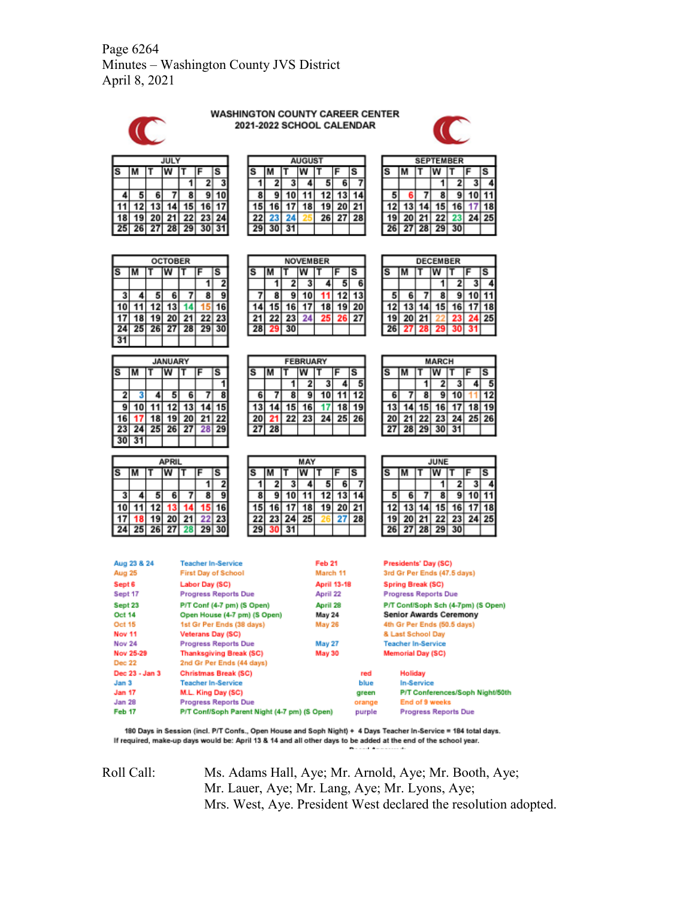Page 6264 Minutes – Washington County JVS District April 8, 2021



#### **WASHINGTON COUNTY CAREER CENTER** 2021-2022 SCHOOL CALENDAR



| JUL Y |                 |   |             |    |     |  |  |  |  |
|-------|-----------------|---|-------------|----|-----|--|--|--|--|
|       |                 | s |             |    |     |  |  |  |  |
|       |                 |   |             |    |     |  |  |  |  |
|       |                 |   |             |    |     |  |  |  |  |
|       |                 |   |             |    | 461 |  |  |  |  |
|       | $\overline{19}$ |   | $20$ 21     | 22 | 23  |  |  |  |  |
|       |                 |   | 26 27 28 29 |    |     |  |  |  |  |

| WGUST |    |    |    |    |                 |    |  |  |  |  |
|-------|----|----|----|----|-----------------|----|--|--|--|--|
|       |    |    |    |    |                 | s  |  |  |  |  |
|       | 2  |    |    | 5  | 6               |    |  |  |  |  |
|       | 9  |    |    | 12 | 13              |    |  |  |  |  |
|       | 16 | 17 | 18 | 19 | 20              |    |  |  |  |  |
| 22    |    |    |    | 26 | $\overline{27}$ | 28 |  |  |  |  |
|       |    |    |    |    |                 |    |  |  |  |  |

**NOVEMBER** 

 $S$  M T W T F S

|    | <b>SEPTEMBER</b> |       |    |  |    |    |  |  |  |  |
|----|------------------|-------|----|--|----|----|--|--|--|--|
|    |                  |       |    |  |    |    |  |  |  |  |
|    |                  |       |    |  |    |    |  |  |  |  |
|    |                  |       | 8  |  |    |    |  |  |  |  |
| 12 |                  | 13 14 | 15 |  |    |    |  |  |  |  |
| 19 |                  | 20 21 | 22 |  | 24 | 25 |  |  |  |  |
|    | 26 27 28 29      |       |    |  |    |    |  |  |  |  |

**DECEMBER** 

1  $\mathbf{2}$  $3 \mid 4$ 

 $\overline{\mathbf{8}}$ 

12 13 14 15 16 17 18 19 20 21 22 23 24<br>26 27 28 29 30 31

**MARCH**  $M$  T  $W$  T F

> $\overline{2}$  $\overline{3}$

13 14 15 16 17 18 19 20 21 22 23 24 25 26 27 28 29 30 31

 $9|10|$ 

 $1$ 

 $\mathbf{8}$ 

ls

ls

 $4$ 

 $\overline{5}$ 

 $12$ 

 $9 10 11$ 

24 25

MTWT

 $6|7$  $5<sub>5</sub>$ 

s

 $\overline{\mathbf{s}}$ 

6 7

| <b>OCTOBER</b> |    |    |    |    |    |    |  |  |  |  |
|----------------|----|----|----|----|----|----|--|--|--|--|
|                |    |    | s  |    |    |    |  |  |  |  |
|                |    |    |    |    |    | 2  |  |  |  |  |
|                |    | 6  | 6  |    | 8  | g  |  |  |  |  |
|                |    | 12 | 13 |    |    |    |  |  |  |  |
|                | 18 | 19 | 20 | 21 | 22 | 23 |  |  |  |  |
| 24             | 25 | 26 | 27 | 28 | 29 |    |  |  |  |  |
|                |    |    |    |    |    |    |  |  |  |  |

| <b>JANUARY</b> |  |    |    |    |    |    |  |  |  |
|----------------|--|----|----|----|----|----|--|--|--|
|                |  |    |    | s  |    |    |  |  |  |
|                |  |    |    |    |    |    |  |  |  |
| $\mathbf{2}$   |  |    |    |    |    |    |  |  |  |
| 9              |  |    | 19 |    |    |    |  |  |  |
|                |  |    |    |    |    |    |  |  |  |
| 23             |  | 25 | 26 | 27 | 28 | 29 |  |  |  |
|                |  |    |    |    |    |    |  |  |  |

|    | APRIL |    |    |    |    |    |  |  |  |  |
|----|-------|----|----|----|----|----|--|--|--|--|
|    | s     |    |    |    |    |    |  |  |  |  |
|    |       |    |    |    |    |    |  |  |  |  |
| 3  |       | 61 | 6  |    | 8  | м  |  |  |  |  |
|    |       | 12 |    |    |    |    |  |  |  |  |
|    |       | 9  | 20 |    |    | 23 |  |  |  |  |
| 24 | 25    | 26 | 27 | 28 | 29 |    |  |  |  |  |

|    |          |    |    |    |    | 12 |    |  |  |  |  |
|----|----------|----|----|----|----|----|----|--|--|--|--|
|    |          |    | 16 | 17 | 18 | 19 | 20 |  |  |  |  |
| 21 |          | 22 | 23 | 24 | 25 | 26 | 27 |  |  |  |  |
| 28 |          |    |    |    |    |    |    |  |  |  |  |
|    |          |    |    |    |    |    |    |  |  |  |  |
|    |          |    |    |    |    |    |    |  |  |  |  |
|    | FFRRUARY |    |    |    |    |    |    |  |  |  |  |

|  |    |    |    |    | 5  |
|--|----|----|----|----|----|
|  |    |    |    |    |    |
|  |    | 9  |    |    |    |
|  |    | 16 |    |    | 19 |
|  | 22 | 23 | 24 | 25 | 26 |
|  |    |    |    |    |    |

|    | MAY |  |    |    |    |   |  |  |  |
|----|-----|--|----|----|----|---|--|--|--|
|    |     |  |    |    |    | s |  |  |  |
|    |     |  |    | h  |    |   |  |  |  |
|    | 9   |  |    | 12 | 13 |   |  |  |  |
|    | 16  |  | 18 | 9  | 20 |   |  |  |  |
| 22 |     |  | 25 |    |    |   |  |  |  |
|    |     |  |    |    |    |   |  |  |  |

| JUNE |    |    |    |    |    |    |  |  |  |  |
|------|----|----|----|----|----|----|--|--|--|--|
|      |    |    |    |    |    |    |  |  |  |  |
|      |    |    |    |    |    |    |  |  |  |  |
|      |    |    |    |    |    |    |  |  |  |  |
| 12   |    |    |    |    |    | 8  |  |  |  |  |
|      | 20 |    | 22 | 23 | 24 | 25 |  |  |  |  |
|      | 27 | 28 | 29 |    |    |    |  |  |  |  |

| Aug 23 & 24    | <b>Teacher In-Service</b>                    | Feb 21             |                          | Presidents' Day (SC)               |
|----------------|----------------------------------------------|--------------------|--------------------------|------------------------------------|
| Aug 25         | <b>First Day of School</b>                   | March 11           |                          | 3rd Gr Per Ends (47.5 days)        |
| Sept 6         | Labor Day (SC)                               | <b>April 13-18</b> |                          | <b>Spring Break (SC)</b>           |
| Sept 17        | <b>Progress Reports Due</b>                  | April 22           |                          | <b>Progress Reports Due</b>        |
| Sept 23        | P/T Conf (4-7 pm) (S Open)                   | April 28           |                          | P/T Conf/Soph Sch (4-7pm) (S Open) |
| <b>Oct 14</b>  | Open House (4-7 pm) (S Open)                 | <b>May 24</b>      |                          | <b>Senior Awards Ceremony</b>      |
| Oct 15         | 1st Gr Per Ends (38 days)                    | <b>May 26</b>      |                          | 4th Gr Per Ends (50.5 days)        |
| Nov 11         | <b>Veterans Day (SC)</b>                     |                    |                          | & Last School Day                  |
| <b>Nov 24</b>  | <b>Progress Reports Due</b>                  | May 27             |                          | <b>Teacher In-Service</b>          |
| Nov 25-29      | <b>Thanksgiving Break (SC)</b>               | <b>May 30</b>      | <b>Memorial Day (SC)</b> |                                    |
| <b>Dec 22</b>  | 2nd Gr Per Ends (44 days)                    |                    |                          |                                    |
| Dec 23 - Jan 3 | <b>Christmas Break (SC)</b>                  |                    | red                      | Holiday                            |
| Jan 3          | <b>Teacher In-Service</b>                    |                    | blue                     | <b>In-Service</b>                  |
| <b>Jan 17</b>  | M.L. King Day (SC)                           |                    | green                    | P/T Conferences/Soph Night/50th    |
| Jan 28         | <b>Progress Reports Due</b>                  |                    | orange                   | End of 9 weeks                     |
| Feb 17         | P/T Conf/Soph Parent Night (4-7 pm) (S Open) |                    | purple                   | <b>Progress Reports Due</b>        |

180 Days in Session (incl. P/T Confs., Open House and Soph Night) + 4 Days Teacher In-Service = 184 total days. If required, make-up days would be: April 13 & 14 and all other days to be added at the end of the school year.

Roll Call: Ms. Adams Hall, Aye; Mr. Arnold, Aye; Mr. Booth, Aye; Mr. Lauer, Aye; Mr. Lang, Aye; Mr. Lyons, Aye; Mrs. West, Aye. President West declared the resolution adopted.